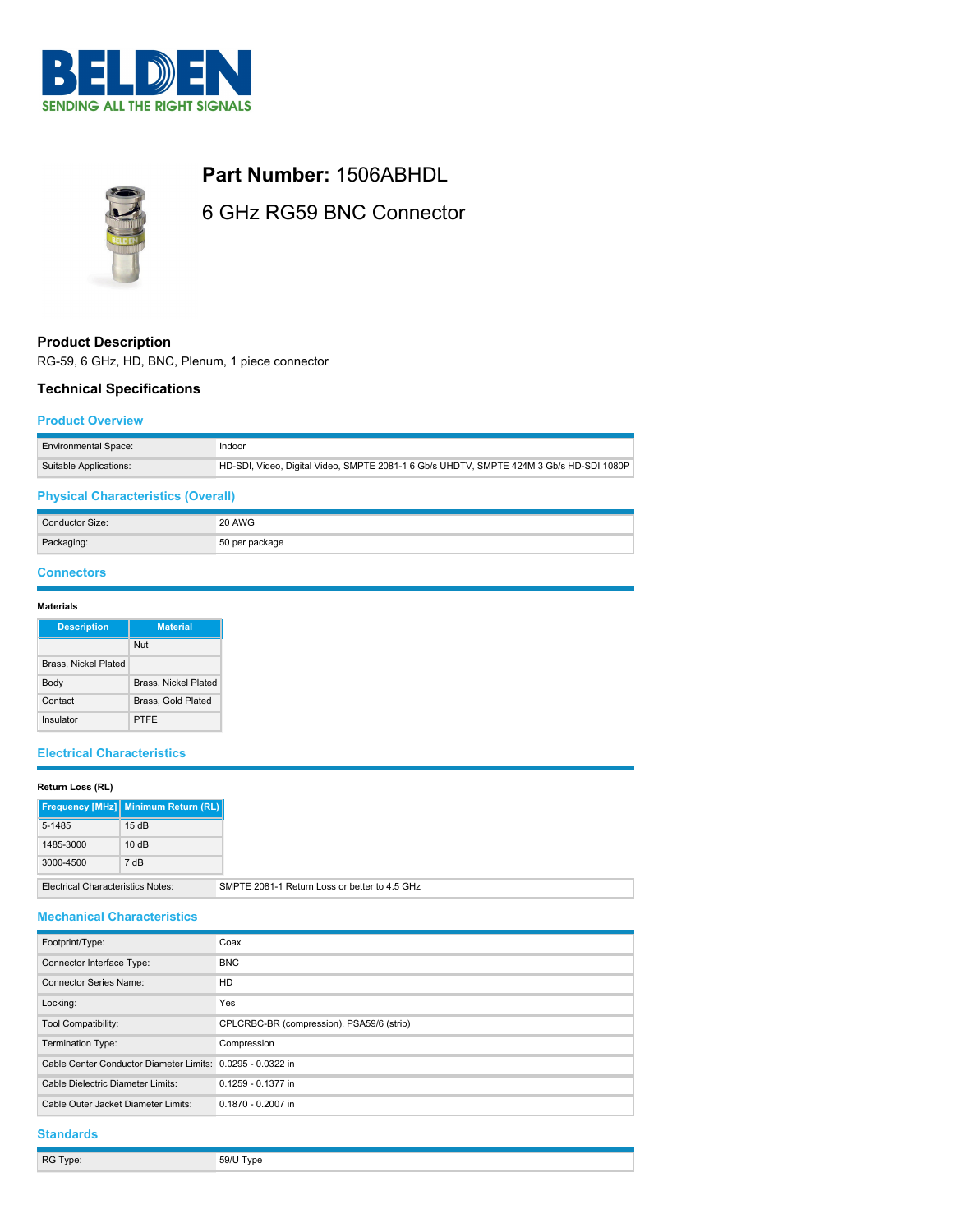



**Part Number:** 1506ABHDL

6 GHz RG59 BNC Connector

# **Product Description**

RG-59, 6 GHz, HD, BNC, Plenum, 1 piece connector

## **Technical Specifications**

#### **Product Overview**

| <b>Environmental Space:</b> | Indoor                                                                                  |
|-----------------------------|-----------------------------------------------------------------------------------------|
| Suitable Applications:      | HD-SDI, Video, Digital Video, SMPTE 2081-1 6 Gb/s UHDTV, SMPTE 424M 3 Gb/s HD-SDI 1080P |

# **Physical Characteristics (Overall)**

| Conductor Size: | 20 AWG         |
|-----------------|----------------|
| Packaging:      | 50 per package |

### **Connectors**

### **Materials**

| <b>Description</b>          | <b>Material</b>             |
|-----------------------------|-----------------------------|
|                             | Nut                         |
| <b>Brass, Nickel Plated</b> |                             |
| Body                        | <b>Brass, Nickel Plated</b> |
| Contact                     | Brass, Gold Plated          |
| Insulator                   | PTFF                        |

## **Electrical Characteristics**

### **Return Loss (RL)**

|                                                                                           | Frequency [MHz] Minimum Return (RL) |
|-------------------------------------------------------------------------------------------|-------------------------------------|
| 5-1485                                                                                    | 15dB                                |
| 1485-3000                                                                                 | 10dB                                |
| 3000-4500                                                                                 | 7 dB                                |
| SMPTE 2081-1 Return Loss or better to 4.5 GHz<br><b>Electrical Characteristics Notes:</b> |                                     |

### **Mechanical Characteristics**

| Footprint/Type:                                            | Coax                                      |
|------------------------------------------------------------|-------------------------------------------|
| Connector Interface Type:                                  | <b>BNC</b>                                |
| Connector Series Name:                                     | HD                                        |
| Locking:                                                   | Yes                                       |
| <b>Tool Compatibility:</b>                                 | CPLCRBC-BR (compression), PSA59/6 (strip) |
| Termination Type:                                          | Compression                               |
| Cable Center Conductor Diameter Limits: 0.0295 - 0.0322 in |                                           |
| Cable Dielectric Diameter Limits:                          | 0.1259 - 0.1377 in                        |
| Cable Outer Jacket Diameter Limits:                        | 0.1870 - 0.2007 in                        |
|                                                            |                                           |

### **Standards**

| RG Type: | 59/U Type |
|----------|-----------|